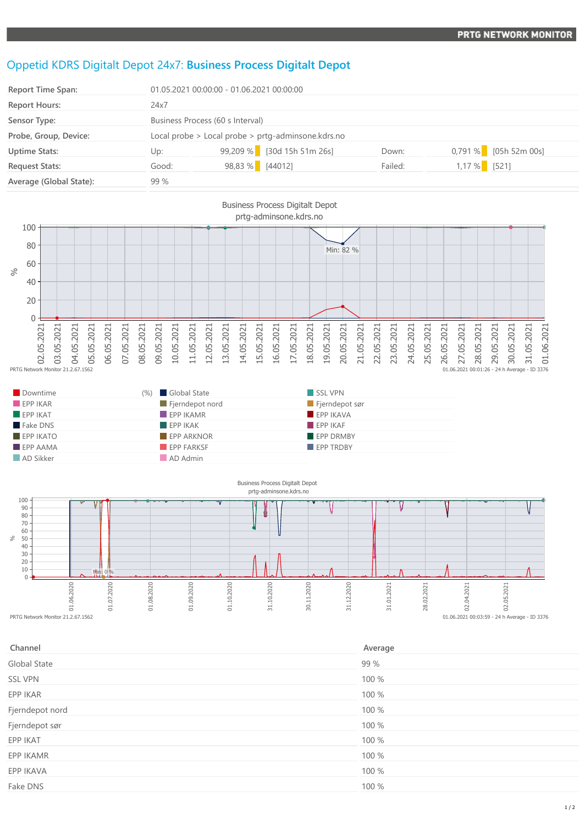## Oppetid KDRS Digitalt Depot 24x7: **Business Process Digitalt Depot**

| <b>Report Time Span:</b> |                                                    | 01.05.2021 00:00:00 - 01.06.2021 00:00:00 |         |                         |  |
|--------------------------|----------------------------------------------------|-------------------------------------------|---------|-------------------------|--|
| <b>Report Hours:</b>     | 24x7                                               |                                           |         |                         |  |
| Sensor Type:             | Business Process (60 s Interval)                   |                                           |         |                         |  |
| Probe, Group, Device:    | Local probe > Local probe > prtg-adminsone.kdrs.no |                                           |         |                         |  |
| <b>Uptime Stats:</b>     | Up:                                                | 99,209 % [30d 15h 51m 26s]                | Down:   | $0,791\%$ [05h 52m 00s] |  |
| <b>Request Stats:</b>    | Good:                                              | 98,83 % [44012]                           | Failed: | $1,17%$ [521]           |  |
| Average (Global State):  | 99%                                                |                                           |         |                         |  |



| Downtime                | (%) Global State         | SSL VPN          |
|-------------------------|--------------------------|------------------|
| EPPIKAR                 | Fjerndepot nord          | Fjerndepot sør   |
| $\blacksquare$ EPP IKAT | $\blacksquare$ EPP IKAMR | EPP IKAVA        |
| Fake DNS                | EPPIKAK                  | FPPIKAF          |
| $EPP$ IKATO             | <b>EPP ARKNOR</b>        | EPP DRMBY        |
| $\blacksquare$ EPP AAMA | <b>EPP FARKSF</b>        | <b>EPP TRDBY</b> |
| AD Sikker               | AD Admin                 |                  |



| Channel         | Average |
|-----------------|---------|
| Global State    | 99 %    |
| <b>SSL VPN</b>  | 100 %   |
| EPP IKAR        | 100 %   |
| Fjerndepot nord | 100 %   |
| Fjerndepot sør  | 100 %   |
| EPP IKAT        | 100 %   |
| EPP IKAMR       | 100 %   |
| EPP IKAVA       | 100 %   |
| Fake DNS        | 100 %   |
|                 |         |